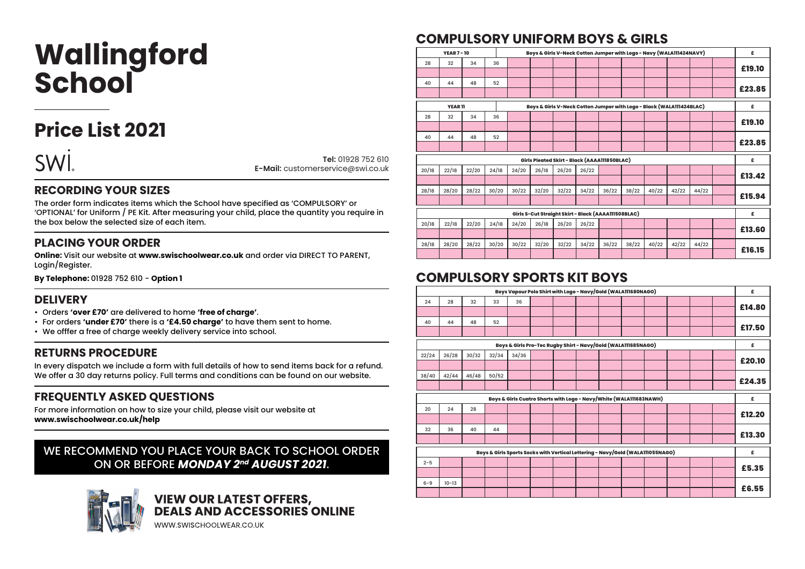# **Wallingford School**

# **Price List 2021**



**Tel:** 01928 752 610 **E-Mail:** customerservice@swi.co.uk

#### **RECORDING YOUR SIZES**

The order form indicates items which the School have specified as 'COMPULSORY' or 'OPTIONAL' for Uniform / PE Kit. After measuring your child, place the quantity you require in the box below the selected size of each item.

#### **PLACING YOUR ORDER**

**Online:** Visit our website at **www.swischoolwear.co.uk** and order via DIRECT TO PARENT, Login/Register.

**By Telephone:** 01928 752 610 - **Option 1**

#### **DELIVERY**

- Orders **'over £70'** are delivered to home **'free of charge'**.
- For orders **'under £70'** there is a **'£4.50 charge'** to have them sent to home.
- We offfer a free of charge weekly delivery service into school.

#### **RETURNS PROCEDURE**

In every dispatch we include a form with full details of how to send items back for a refund. We offer a 30 day returns policy. Full terms and conditions can be found on our website.

#### **FREQUENTLY ASKED QUESTIONS**

For more information on how to size your child, please visit our website at **www.swischoolwear.co.uk/help**

#### WE RECOMMEND YOU PLACE YOUR BACK TO SCHOOL ORDER ON OR BEFORE *MONDAY 2nd AUGUST 2021*.



# **VIEW OUR LATEST OFFERS,<br>DEALS AND ACCESSORIES ONLINE**

WWW.SWISCHOOLWEAR.CO.UK

## **COMPULSORY UNIFORM BOYS & GIRLS**

| £      |       |       |       |       |       |       | Boys & Girls V-Neck Cotton Jumper with Logo - Navy (WALA111424NAVY)  |       |       |       |       | <b>YEAR 7-10</b> |       |
|--------|-------|-------|-------|-------|-------|-------|----------------------------------------------------------------------|-------|-------|-------|-------|------------------|-------|
|        |       |       |       |       |       |       |                                                                      |       |       | 36    | 34    | 32               | 28    |
| £19.10 |       |       |       |       |       |       |                                                                      |       |       |       |       |                  |       |
|        |       |       |       |       |       |       |                                                                      |       |       | 52    | 48    | 44               | 40    |
| £23.85 |       |       |       |       |       |       |                                                                      |       |       |       |       |                  |       |
| £      |       |       |       |       |       |       | Boys & Girls V-Neck Cotton Jumper with Logo - Black (WALA111424BLAC) |       |       |       |       | <b>YEAR11</b>    |       |
|        |       |       |       |       |       |       |                                                                      |       |       | 36    | 34    | 32               | 28    |
| £19.10 |       |       |       |       |       |       |                                                                      |       |       |       |       |                  |       |
|        |       |       |       |       |       |       |                                                                      |       |       | 52    | 48    | 44               | 40    |
| £23.85 |       |       |       |       |       |       |                                                                      |       |       |       |       |                  |       |
|        |       |       |       |       |       |       |                                                                      |       |       |       |       |                  |       |
| £      |       |       |       |       |       |       | Girls Pleated Skirt - Black (AAAA111850BLAC)                         |       |       |       |       |                  |       |
|        |       |       |       |       |       | 26/22 | 26/20                                                                | 26/18 | 24/20 | 24/18 | 22/20 | 22/18            | 20/18 |
| £13.42 |       |       |       |       |       |       |                                                                      |       |       |       |       |                  |       |
|        | 44/22 | 42/22 | 40/22 | 38/22 | 36/22 | 34/22 | 32/22                                                                | 32/20 | 30/22 | 30/20 | 28/22 | 28/20            | 28/18 |
| £15.94 |       |       |       |       |       |       |                                                                      |       |       |       |       |                  |       |
| £      |       |       |       |       |       |       | Girls S-Cut Straight Skirt - Black (AAAA111508BLAC)                  |       |       |       |       |                  |       |
|        |       |       |       |       |       | 26/22 | 26/20                                                                | 26/18 | 24/20 | 24/18 | 22/20 | 22/18            | 20/18 |
| £13.60 |       |       |       |       |       |       |                                                                      |       |       |       |       |                  |       |
|        |       |       |       |       |       | 34/22 | 32/22                                                                |       | 30/22 | 30/20 | 28/22 | 28/20            | 28/18 |
|        | 44/22 | 42/22 | 40/22 | 38/22 | 36/22 |       |                                                                      | 32/20 |       |       |       |                  |       |
| £16.15 |       |       |       |       |       |       |                                                                      |       |       |       |       |                  |       |

### **COMPULSORY SPORTS KIT BOYS**

| £      |  |  |  |  | Boys Vapour Polo Shirt with Logo - Navy/Gold (WALA111680NAGO)                  |       |       |           |         |
|--------|--|--|--|--|--------------------------------------------------------------------------------|-------|-------|-----------|---------|
|        |  |  |  |  | 36                                                                             | 33    | 32    | 28        | 24      |
| £14.80 |  |  |  |  |                                                                                |       |       |           |         |
|        |  |  |  |  |                                                                                | 52    | 48    | 44        | 40      |
| £17.50 |  |  |  |  |                                                                                |       |       |           |         |
| £      |  |  |  |  | Boys & Girls Pro-Tec Rugby Shirt - Navy/Gold (WALA111685NAGO)                  |       |       |           |         |
|        |  |  |  |  | 34/36                                                                          | 32/34 | 30/32 | 26/28     | 22/24   |
| £20.10 |  |  |  |  |                                                                                |       |       |           |         |
|        |  |  |  |  |                                                                                | 50/52 | 46/48 | 42/44     | 38/40   |
| £24.35 |  |  |  |  |                                                                                |       |       |           |         |
|        |  |  |  |  |                                                                                |       |       |           |         |
| £      |  |  |  |  | Boys & Girls Cuatro Shorts with Logo - Navy/White (WALA111683NAWH)             |       |       |           |         |
|        |  |  |  |  |                                                                                |       | 28    | 24        | 20      |
| £12.20 |  |  |  |  |                                                                                |       |       |           |         |
|        |  |  |  |  |                                                                                | 44    | 40    | 36        | 32      |
| £13.30 |  |  |  |  |                                                                                |       |       |           |         |
| £      |  |  |  |  | Boys & Girls Sports Socks with Vertical Lettering - Navy/Gold (WALA111055NAGO) |       |       |           |         |
|        |  |  |  |  |                                                                                |       |       |           | $2 - 5$ |
| £5.35  |  |  |  |  |                                                                                |       |       |           |         |
| £6.55  |  |  |  |  |                                                                                |       |       | $10 - 13$ | $6 - 9$ |